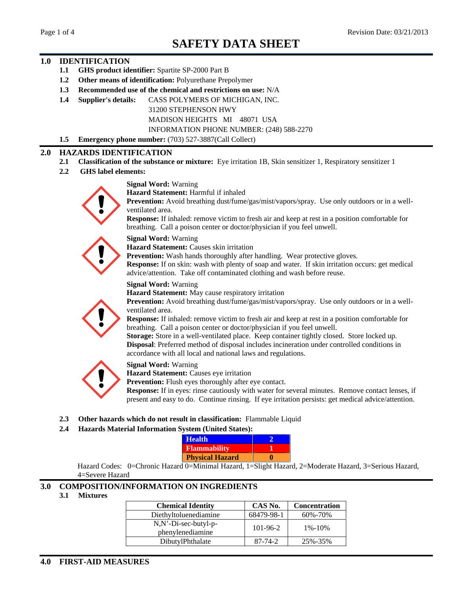### **1.0 IDENTIFICATION**

- **1.1 GHS product identifier:** Spartite SP-2000 Part B
- **1.2 Other means of identification:** Polyurethane Prepolymer
- **1.3 Recommended use of the chemical and restrictions on use:** N/A
- **1.4 Supplier's details:** CASS POLYMERS OF MICHIGAN, INC.

31200 STEPHENSON HWY

MADISON HEIGHTS MI 48071 USA

INFORMATION PHONE NUMBER: (248) 588-2270

**1.5 Emergency phone number:** (703) 527-3887(Call Collect)

#### **2.0 HAZARDS IDENTIFICATION**

- **2.1 Classification of the substance or mixture:** Eye irritation 1B, Skin sensitizer 1, Respiratory sensitizer 1
- **2.2 GHS label elements:**



**Signal Word:** Warning

**Hazard Statement:** Harmful if inhaled

**Prevention:** Avoid breathing dust/fume/gas/mist/vapors/spray. Use only outdoors or in a wellventilated area. The same state of  $\mathbb{R}^n$  and  $\mathbb{R}^n$  are stated area.

**Response:** If inhaled: remove victim to fresh air and keep at rest in a position comfortable for breathing. Call a poison center or doctor/physician if you feel unwell.

**Signal Word:** Warning

**Hazard Statement:** Causes skin irritation

Prevention: Wash hands thoroughly after handling. Wear protective gloves. **Response:** If on skin: wash with plenty of soap and water. If skin irritation occurs: get medical

advice/attention. Take off contaminated clothing and wash before reuse.

**Signal Word:** Warning

**Hazard Statement:** May cause respiratory irritation



**Prevention:** Avoid breathing dust/fume/gas/mist/vapors/spray. Use only outdoors or in a wellventilated area.

**Response:** If inhaled: remove victim to fresh air and keep at rest in a position comfortable for breathing. Call a poison center or doctor/physician if you feel unwell.

**Storage:** Store in a well-ventilated place. Keep container tightly closed. Store locked up. **Disposal**: Preferred method of disposal includes incineration under controlled conditions in accordance with all local and national laws and regulations.



#### **Signal Word:** Warning

**Hazard Statement:** Causes eye irritation

**Prevention:** Flush eyes thoroughly after eye contact.

**Response:** If in eyes: rinse cautiously with water for several minutes. Remove contact lenses, if present and easy to do. Continue rinsing. If eye irritation persists: get medical advice/attention.

- **2.3 Other hazards which do not result in classification:** Flammable Liquid
- **2.4 Hazards Material Information System (United States):**

| <b>Health</b>          |  |
|------------------------|--|
| Flammability           |  |
| <b>Physical Hazard</b> |  |

Hazard Codes: 0=Chronic Hazard 0=Minimal Hazard, 1=Slight Hazard, 2=Moderate Hazard, 3=Serious Hazard, 4=Severe Hazard

# **3.0 COMPOSITION/INFORMATION ON INGREDIENTS**

| 3.1 Mixtures |                                          |                                                                                 |                                                    |
|--------------|------------------------------------------|---------------------------------------------------------------------------------|----------------------------------------------------|
|              | <b>Chemical Identity</b>                 |                                                                                 | <b>CAS No. Concentration</b><br>68479-98-1 60%-70% |
|              | Diethyltoluenediamine                    | the contract of the contract of the contract of the contract of the contract of |                                                    |
|              | N,N'-Di-sec-butyl-p-<br>phenylenediamine | 101-96-2                                                                        | $1\% - 10\%$                                       |
|              | DibutylPhthalate                         | 87-74-2                                                                         | 25%-35%                                            |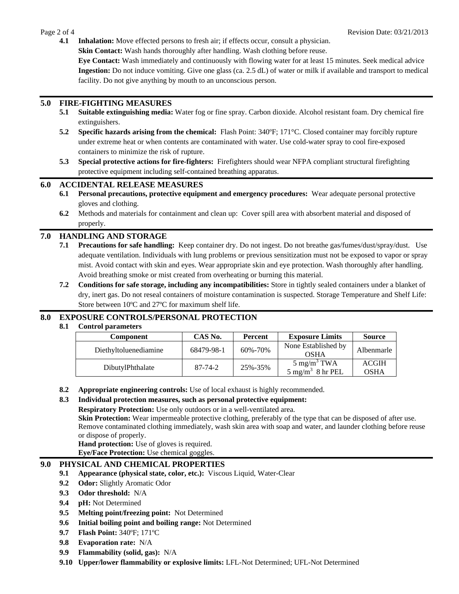**4.1 Inhalation:** Move effected persons to fresh air; if effects occur, consult a physician.

**Skin Contact:** Wash hands thoroughly after handling. Wash clothing before reuse.

**Eye Contact:** Wash immediately and continuously with flowing water for at least 15 minutes. Seek medical advice **Ingestion:** Do not induce vomiting. Give one glass (ca. 2.5 dL) of water or milk if available and transport to medical facility. Do not give anything by mouth to an unconscious person.

### **5.0 FIRE-FIGHTING MEASURES**

- **5.1 Suitable extinguishing media:** Water fog or fine spray. Carbon dioxide. Alcohol resistant foam. Dry chemical fire extinguishers.
- **5.2 Specific hazards arising from the chemical:** Flash Point: 340ºF; 171°C. Closed container may forcibly rupture under extreme heat or when contents are contaminated with water. Use cold-water spray to cool fire-exposed containers to minimize the risk of rupture.
- **5.3 Special protective actions for fire-fighters:** Firefighters should wear NFPA compliant structural firefighting protective equipment including self-contained breathing apparatus.

## **6.0 ACCIDENTAL RELEASE MEASURES**

- **6.1 Personal precautions, protective equipment and emergency procedures:** Wear adequate personal protective gloves and clothing.
- **6.2** Methods and materials for containment and clean up: Cover spill area with absorbent material and disposed of properly. The contract of the contract of the contract of the contract of the contract of the contract of the contract of the contract of the contract of the contract of the contract of the contract of the contract of the

## **7.0 HANDLING AND STORAGE**

- **7.1 Precautions for safe handling:** Keep container dry. Do not ingest. Do not breathe gas/fumes/dust/spray/dust. Use adequate ventilation. Individuals with lung problems or previous sensitization must not be exposed to vapor or spray mist. Avoid contact with skin and eyes. Wear appropriate skin and eye protection. Wash thoroughly after handling. Avoid breathing smoke or mist created from overheating or burning this material.
- **7.2 Conditions for safe storage, including any incompatibilities:** Store in tightly sealed containers under a blanket of dry, inert gas. Do not reseal containers of moisture contamination is suspected. Storage Temperature and Shelf Life: Store between 10ºC and 27ºC for maximum shelf life.

# **8.0 EXPOSURE CONTROLS/PERSONAL PROTECTION**

### **8.1 Control parameters**

**8.2 Appropriate engineering controls:** Use of local exhaust is highly recommended.

### **8.3 Individual protection measures, such as personal protective equipment:**

**Respiratory Protection:** Use only outdoors or in a well-ventilated area.

**Skin Protection:** Wear impermeable protective clothing, preferably of the type that can be disposed of after use.<br>Remove contaminated clothing immediately, wash skin area with soap and water, and launder clothing before r or dispose of properly.

**Hand protection:** Use of gloves is required. **Eye/Face Protection:** Use chemical goggles.

### **9.0 PHYSICAL AND CHEMICAL PROPERTIES**

- **9.1 Appearance (physical state, color, etc.):** Viscous Liquid, Water-Clear
- **9.2 Odor:** Slightly Aromatic Odor
- **9.3 Odor threshold:** N/A
- **9.4 pH:** Not Determined
- **9.5 Melting point/freezing point:** Not Determined
- **9.6 Initial boiling point and boiling range:** Not Determined
- **9.7 Flash Point:** 340ºF; 171ºC
- **9.8 Evaporation rate:** N/A
- **9.9 Flammability (solid, gas):** N/A
- **9.10 Upper/lower flammability or explosive limits:** LFL-Not Determined; UFL-Not Determined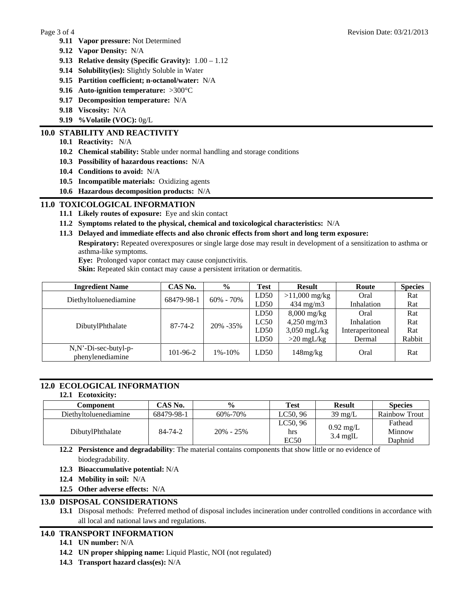- **9.11 Vapor pressure:** Not Determined
- **9.12 Vapor Density:** N/A
- **9.13 Relative density (Specific Gravity):** 1.00 1.12
- **9.14 Solubility(ies):** Slightly Soluble in Water
- **9.15 Partition coefficient; n-octanol/water:** N/A
- **9.16 Auto-ignition temperature:** >300°C
- **9.17 Decomposition temperature:** N/A
- **9.18 Viscosity:** N/A
- **9.19 %Volatile (VOC):** 0g/L

# **10.0 STABILITY AND REACTIVITY**

- **10.1 Reactivity:** N/A
- **10.2 Chemical stability:** Stable under normal handling and storage conditions
- **10.3 Possibility of hazardous reactions:** N/A
- **10.4 Conditions to avoid:** N/A
- **10.5 Incompatible materials:** Oxidizing agents
- **10.6 Hazardous decomposition products:** N/A

# **11.0 TOXICOLOGICAL INFORMATION**

- **11.1 Likely routes of exposure:** Eye and skin contact
- **11.2 Symptoms related to the physical, chemical and toxicological characteristics:** N/A
- **11.3 Delayed and immediate effects and also chronic effects from short and long term exposure:**
	- **Respiratory:** Repeated overexposures or single large dose may result in development of a sensitization to asthma or asthma-like symptoms.

**Eye:** Prolonged vapor contact may cause conjunctivitis.

**Skin:** Repeated skin contact may cause a persistent irritation or dermatitis.

| <b>Ingredient Name</b>                   | CAS No.                |          | 'Tes         | - Kesi                 | - Route          | <b>Species</b> |
|------------------------------------------|------------------------|----------|--------------|------------------------|------------------|----------------|
| Diethyltoluenediamine                    | $68479-98-1$ 60% - 70% |          | $\vert$ LD50 | $>11,000$ mg/kg        | Oral             | <b>Rat</b>     |
|                                          |                        |          | LD50         | F34 Mg/M3              |                  |                |
|                                          |                        |          | LD50 $\vert$ | 8,000 mg/kg            | Oral             | Rat            |
|                                          | $87 - 74 - 2$          |          | LC50         | $4,250 \text{ mg/m}$ 3 | Inhalation       |                |
| DibutylPhthalate                         |                        | 20% -35% | LD50         | $3,050 \text{ mgL/kg}$ | Interaperitoneal | Kat            |
|                                          |                        |          | LD50         | $>$ 20 mgL/kg          | <b>Derma</b>     | Rabbit         |
|                                          |                        |          |              | $148$ mg/ $kg$         |                  |                |
| N,N'-Di-sec-butyl-p-<br>phenylenediamine | 101-96-2               | 1%-10%   | LD50         |                        | Oral             | Rat            |

# **12.0 ECOLOGICAL INFORMATION**

#### **12.1 Ecotoxicity:**

| <b>Component CAS No.</b> 9% Test Result Species<br>Diethyltoluenediamine 68479-98-1 60%-70% LC50, 96 39 mg/L Rainbow Trout<br>DibutylPhthalate 84-74-2 20% - 25% LC50, 96 0.92 mg/L Fathead<br>EC50 3.4 mglL Minnow EC50 |  |  |
|--------------------------------------------------------------------------------------------------------------------------------------------------------------------------------------------------------------------------|--|--|

**12.2 Persistence and degradability**: The material contains components that show little or no evidence of biodegradability.

- **12.3 Bioaccumulative potential:** N/A
- **12.4 Mobility in soil:** N/A
- **12.5 Other adverse effects:** N/A

# **13.0 DISPOSAL CONSIDERATIONS**

**13.1** Disposal methods: Preferred method of disposal includes incineration under controlled conditions in accordance with all local and national laws and regulations.

# **14.0 TRANSPORT INFORMATION**

- **14.1 UN number:** N/A
- **14.2 UN proper shipping name:** Liquid Plastic, NOI (not regulated)
- **14.3 Transport hazard class(es):** N/A